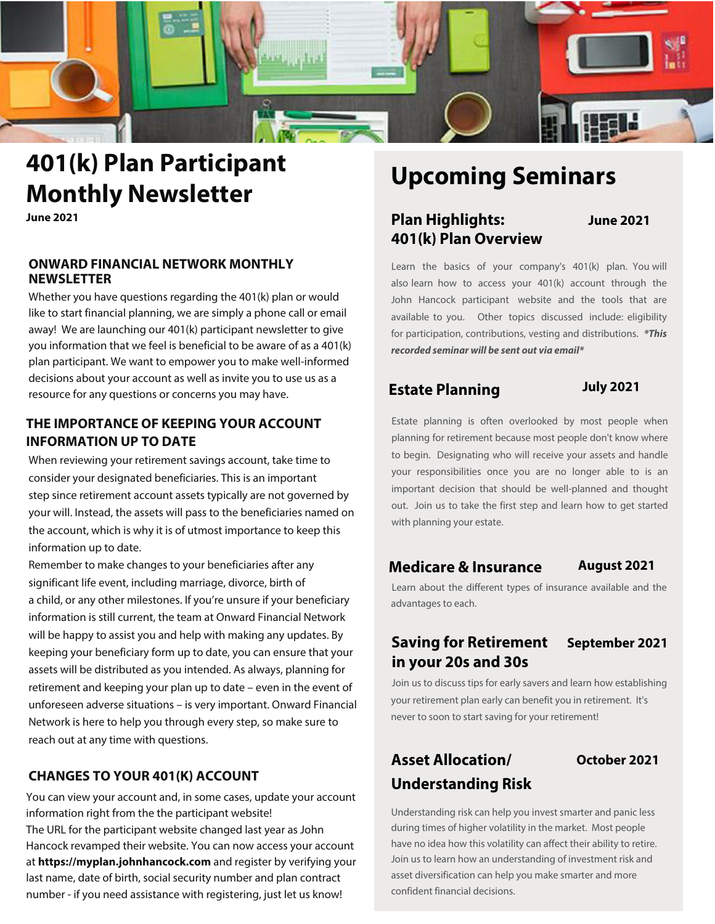

# **401(k) Plan Participant Monthly Newsletter**

**June 2021**

#### **ONWARD FINANCIAL NETWORK MONTHLY NEWSLETTER**

Whether you have questions regarding the 401(k) plan or would like to start financial planning, we are simply a phone call or email away! We are launching our 401(k) participant newsletter to give you information that we feel is beneficial to be aware of as a 401(k) plan participant. We want to empower you to make well-informed decisions about your account as well as invite you to use us as a resource for any questions or concerns you may have.

#### **THE IMPORTANCE OF KEEPING YOUR ACCOUNT INFORMATION UP TO DATE**

When reviewing your retirement savings account, take time to consider your designated beneficiaries. This is an important step since retirement account assets typically are not governed by your will. Instead, the assets will pass to the beneficiaries named on the account, which is why it is of utmost importance to keep this information up to date.

Remember to make changes to your beneficiaries after any significant life event, including marriage, divorce, birth of a child, or any other milestones. If you're unsure if your beneficiary information is still current, the team at Onward Financial Network will be happy to assist you and help with making any updates. By keeping your beneficiary form up to date, you can ensure that your assets will be distributed as you intended. As always, planning for retirement and keeping your plan up to date – even in the event of unforeseen adverse situations – is very important. Onward Financial Network is here to help you through every step, so make sure to reach out at any time with questions.

### **CHANGES TO YOUR 401(K) ACCOUNT**

You can view your account and, in some cases, update your account information right from the the participant website! The URL for the participant website changed last year as John Hancock revamped their website. You can now access your account at **https://myplan.johnhancock.com** and register by verifying your last name, date of birth, social security number and plan contract number - if you need assistance with registering, just let us know!

# **Upcoming Seminars**

# **Plan Highlights: June 2021 401(k) Plan Overview**

Learn the basics of your company's 401(k) plan. You will also learn how to access your 401(k) account through the John Hancock participant website and the tools that are available to you. Other topics discussed include: eligibility for participation, contributions, vesting and distributions. **\*This recorded seminar will be sent out via email\***

# **Estate Planning July 2021**

Estate planning is often overlooked by most people when planning for retirement because most people don't know where to begin. Designating who will receive your assets and handle your responsibilities once you are no longer able to is an important decision that should be well-planned and thought out. Join us to take the first step and learn how to get started with planning your estate.

### **Medicare & Insurance August 2021**

Learn about the different types of insurance available and the advantages to each.

# **Saving for Retirement September 2021 in your 20s and 30s**

Join us to discuss tips for early savers and learn how establishing your retirement plan early can benefit you in retirement. It's never to soon to start saving for your retirement!

# **Asset Allocation/ October 2021 Understanding Risk**

Understanding risk can help you invest smarter and panic less during times of higher volatility in the market. Most people have no idea how this volatility can affect their ability to retire. Join us to learn how an understanding of investment risk and asset diversification can help you make smarter and more confident financial decisions.